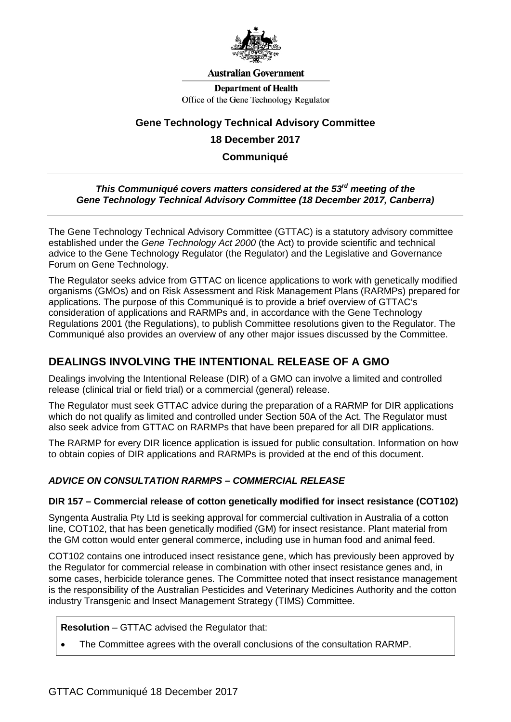

### **Australian Government**

**Department of Health** Office of the Gene Technology Regulator

## **Gene Technology Technical Advisory Committee**

### **18 December 2017**

**Communiqué**

### *This Communiqué covers matters considered at the 53rd meeting of the Gene Technology Technical Advisory Committee (18 December 2017, Canberra)*

The Gene Technology Technical Advisory Committee (GTTAC) is a statutory advisory committee established under the *Gene Technology Act 2000* (the Act) to provide scientific and technical advice to the Gene Technology Regulator (the Regulator) and the Legislative and Governance Forum on Gene Technology.

The Regulator seeks advice from GTTAC on licence applications to work with genetically modified organisms (GMOs) and on Risk Assessment and Risk Management Plans (RARMPs) prepared for applications. The purpose of this Communiqué is to provide a brief overview of GTTAC's consideration of applications and RARMPs and, in accordance with the Gene Technology Regulations 2001 (the Regulations), to publish Committee resolutions given to the Regulator. The Communiqué also provides an overview of any other major issues discussed by the Committee.

## **DEALINGS INVOLVING THE INTENTIONAL RELEASE OF A GMO**

Dealings involving the Intentional Release (DIR) of a GMO can involve a limited and controlled release (clinical trial or field trial) or a commercial (general) release.

The Regulator must seek GTTAC advice during the preparation of a RARMP for DIR applications which do not qualify as limited and controlled under Section 50A of the Act. The Regulator must also seek advice from GTTAC on RARMPs that have been prepared for all DIR applications.

The RARMP for every DIR licence application is issued for public consultation. Information on how to obtain copies of DIR applications and RARMPs is provided at the end of this document.

## *ADVICE ON CONSULTATION RARMPS – COMMERCIAL RELEASE*

### **DIR 157 – Commercial release of cotton genetically modified for insect resistance (COT102)**

Syngenta Australia Pty Ltd is seeking approval for commercial cultivation in Australia of a cotton line, COT102, that has been genetically modified (GM) for insect resistance. Plant material from the GM cotton would enter general commerce, including use in human food and animal feed.

COT102 contains one introduced insect resistance gene, which has previously been approved by the Regulator for commercial release in combination with other insect resistance genes and, in some cases, herbicide tolerance genes. The Committee noted that insect resistance management is the responsibility of the Australian Pesticides and Veterinary Medicines Authority and the cotton industry Transgenic and Insect Management Strategy (TIMS) Committee.

**Resolution** – GTTAC advised the Regulator that:

• The Committee agrees with the overall conclusions of the consultation RARMP.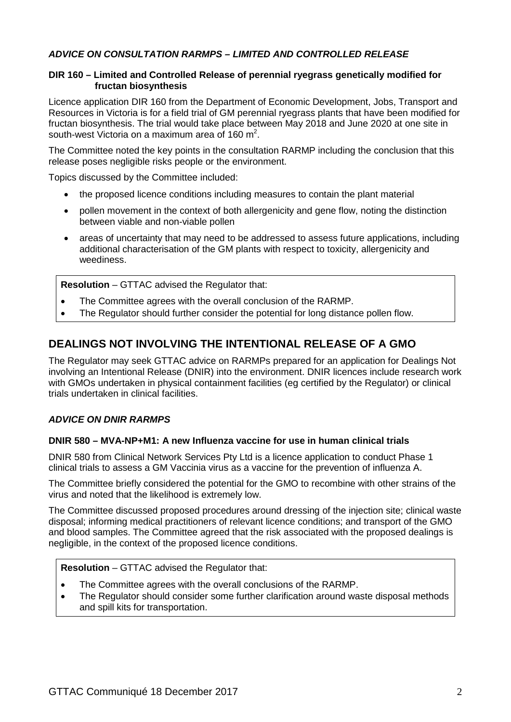## *ADVICE ON CONSULTATION RARMPS – LIMITED AND CONTROLLED RELEASE*

### **DIR 160 – Limited and Controlled Release of perennial ryegrass genetically modified for fructan biosynthesis**

Licence application DIR 160 from the Department of Economic Development, Jobs, Transport and Resources in Victoria is for a field trial of GM perennial ryegrass plants that have been modified for fructan biosynthesis. The trial would take place between May 2018 and June 2020 at one site in south-west Victoria on a maximum area of 160 m<sup>2</sup>.

The Committee noted the key points in the consultation RARMP including the conclusion that this release poses negligible risks people or the environment.

Topics discussed by the Committee included:

- the proposed licence conditions including measures to contain the plant material
- pollen movement in the context of both allergenicity and gene flow, noting the distinction between viable and non-viable pollen
- areas of uncertainty that may need to be addressed to assess future applications, including additional characterisation of the GM plants with respect to toxicity, allergenicity and weediness.

**Resolution** – GTTAC advised the Regulator that:

- The Committee agrees with the overall conclusion of the RARMP.
- The Regulator should further consider the potential for long distance pollen flow.

## **DEALINGS NOT INVOLVING THE INTENTIONAL RELEASE OF A GMO**

The Regulator may seek GTTAC advice on RARMPs prepared for an application for Dealings Not involving an Intentional Release (DNIR) into the environment. DNIR licences include research work with GMOs undertaken in physical containment facilities (eg certified by the Regulator) or clinical trials undertaken in clinical facilities.

### *ADVICE ON DNIR RARMPS*

### **DNIR 580 – MVA-NP+M1: A new Influenza vaccine for use in human clinical trials**

DNIR 580 from Clinical Network Services Pty Ltd is a licence application to conduct Phase 1 clinical trials to assess a GM Vaccinia virus as a vaccine for the prevention of influenza A.

The Committee briefly considered the potential for the GMO to recombine with other strains of the virus and noted that the likelihood is extremely low.

The Committee discussed proposed procedures around dressing of the injection site; clinical waste disposal; informing medical practitioners of relevant licence conditions; and transport of the GMO and blood samples. The Committee agreed that the risk associated with the proposed dealings is negligible, in the context of the proposed licence conditions.

### **Resolution** – GTTAC advised the Regulator that:

- The Committee agrees with the overall conclusions of the RARMP.
- The Regulator should consider some further clarification around waste disposal methods and spill kits for transportation.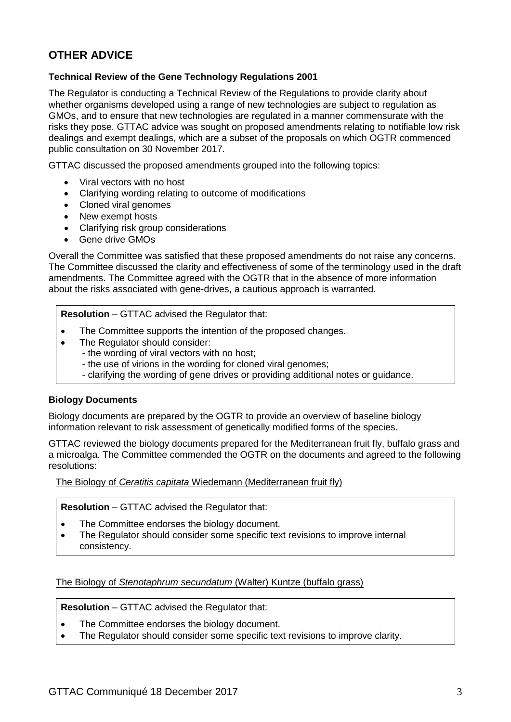# **OTHER ADVICE**

### **Technical Review of the Gene Technology Regulations 2001**

The Regulator is conducting a Technical Review of the Regulations to provide clarity about whether organisms developed using a range of new technologies are subject to regulation as GMOs, and to ensure that new technologies are regulated in a manner commensurate with the risks they pose. GTTAC advice was sought on proposed amendments relating to notifiable low risk dealings and exempt dealings, which are a subset of the proposals on which OGTR commenced public consultation on 30 November 2017.

GTTAC discussed the proposed amendments grouped into the following topics:

- Viral vectors with no host
- Clarifying wording relating to outcome of modifications
- Cloned viral genomes
- New exempt hosts
- Clarifying risk group considerations
- Gene drive GMOs

Overall the Committee was satisfied that these proposed amendments do not raise any concerns. The Committee discussed the clarity and effectiveness of some of the terminology used in the draft amendments. The Committee agreed with the OGTR that in the absence of more information about the risks associated with gene-drives, a cautious approach is warranted.

**Resolution** – GTTAC advised the Regulator that:

- The Committee supports the intention of the proposed changes.
- The Regulator should consider:
	- the wording of viral vectors with no host;
	- the use of virions in the wording for cloned viral genomes;
	- clarifying the wording of gene drives or providing additional notes or guidance.

### **Biology Documents**

Biology documents are prepared by the OGTR to provide an overview of baseline biology information relevant to risk assessment of genetically modified forms of the species.

GTTAC reviewed the biology documents prepared for the Mediterranean fruit fly, buffalo grass and a microalga. The Committee commended the OGTR on the documents and agreed to the following resolutions:

The Biology of *Ceratitis capitata* Wiedemann (Mediterranean fruit fly)

**Resolution** – GTTAC advised the Regulator that:

- The Committee endorses the biology document.
- The Regulator should consider some specific text revisions to improve internal consistency.

The Biology of *Stenotaphrum secundatum* (Walter) Kuntze (buffalo grass)

**Resolution** – GTTAC advised the Regulator that:

- The Committee endorses the biology document.
- The Regulator should consider some specific text revisions to improve clarity.